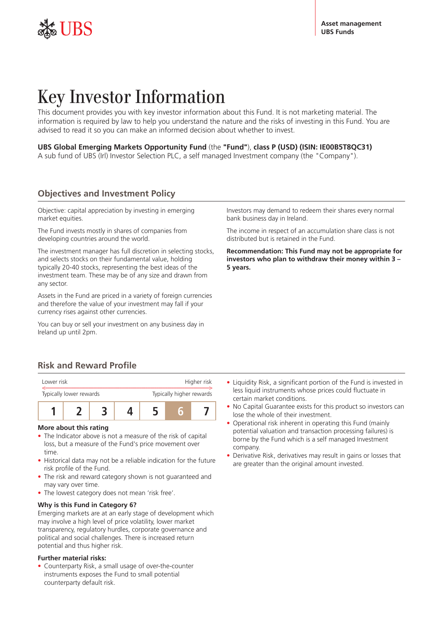

**Key Investor Information**<br>This document provides you with key investor information a<br>information is required by law to help you understand the n<br>advised to read it so you can make an informed decision ab<br>**UBS Global Emerg** This document provides you with key investor information about this Fund. It is not marketing material. The information is required by law to help you understand the nature and the risks of investing in this Fund. You are advised to read it so you can make an informed decision about whether to invest.

## **UBS Global Emerging Markets Opportunity Fund** (the **"Fund"**), **class P (USD) (ISIN: IE00B5T8QC31)**

A sub fund of UBS (Irl) Investor Selection PLC, a self managed Investment company (the "Company").

Objective: capital appreciation by investing in emerging market equities.

The Fund invests mostly in shares of companies from developing countries around the world.

The investment manager has full discretion in selecting stocks, and selects stocks on their fundamental value, holding typically 20-40 stocks, representing the best ideas of the investment team. These may be of any size and drawn from any sector.

Assets in the Fund are priced in a variety of foreign currencies and therefore the value of your investment may fall if your currency rises against other currencies.

You can buy or sell your investment on any business day in Ireland up until 2pm.

Investors may demand to redeem their shares every normal bank business day in Ireland.

The income in respect of an accumulation share class is not distributed but is retained in the Fund.

**Recommendation: This Fund may not be appropriate for investors who plan to withdraw their money within 3 – 5 years.**

# **Risk and Reward Profile**



## **More about this rating**

- The Indicator above is not a measure of the risk of capital loss, but a measure of the Fund's price movement over time.
- Historical data may not be a reliable indication for the future risk profile of the Fund.
- The risk and reward category shown is not guaranteed and may vary over time.
- The lowest category does not mean 'risk free'.

## **Why is this Fund in Category 6?**

Emerging markets are at an early stage of development which may involve a high level of price volatility, lower market transparency, regulatory hurdles, corporate governance and political and social challenges. There is increased return potential and thus higher risk.

## **Further material risks:**

• Counterparty Risk, a small usage of over-the-counter instruments exposes the Fund to small potential counterparty default risk.

- Liquidity Risk, a significant portion of the Fund is invested in less liquid instruments whose prices could fluctuate in certain market conditions.
- No Capital Guarantee exists for this product so investors can lose the whole of their investment.
- Operational risk inherent in operating this Fund (mainly potential valuation and transaction processing failures) is borne by the Fund which is a self managed Investment company.
- Derivative Risk, derivatives may result in gains or losses that are greater than the original amount invested.